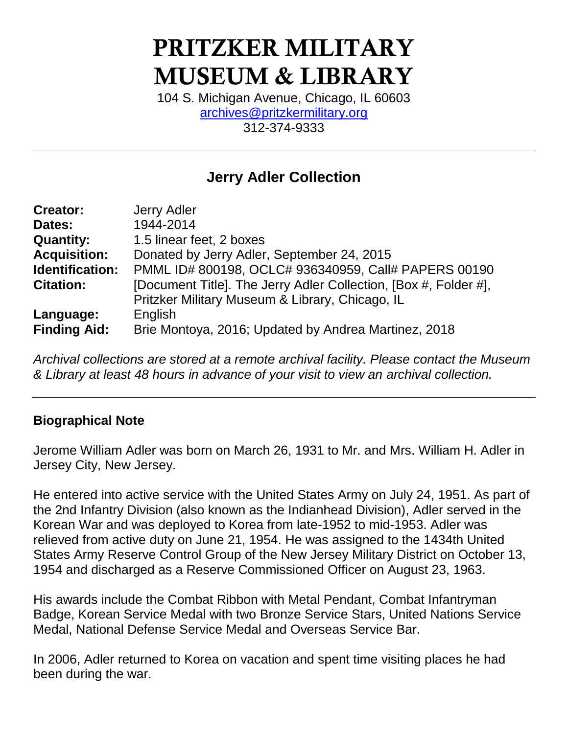# **PRITZKER MILITARY MUSEUM & LIBRARY**

104 S. Michigan Avenue, Chicago, IL 60603 [archives@pritzkermilitary.org](mailto:archives@pritzkermilitary.org)  312-374-9333

## **Jerry Adler Collection**

| <b>Creator:</b>     | <b>Jerry Adler</b>                                               |
|---------------------|------------------------------------------------------------------|
| Dates:              | 1944-2014                                                        |
| <b>Quantity:</b>    | 1.5 linear feet, 2 boxes                                         |
| <b>Acquisition:</b> | Donated by Jerry Adler, September 24, 2015                       |
| Identification:     | PMML ID# 800198, OCLC# 936340959, Call# PAPERS 00190             |
| <b>Citation:</b>    | [Document Title]. The Jerry Adler Collection, [Box #, Folder #], |
|                     | Pritzker Military Museum & Library, Chicago, IL                  |
| Language:           | English                                                          |
| <b>Finding Aid:</b> | Brie Montoya, 2016; Updated by Andrea Martinez, 2018             |

*Archival collections are stored at a remote archival facility. Please contact the Museum & Library at least 48 hours in advance of your visit to view an archival collection.*

#### **Biographical Note**

Jerome William Adler was born on March 26, 1931 to Mr. and Mrs. William H. Adler in Jersey City, New Jersey.

He entered into active service with the United States Army on July 24, 1951. As part of the 2nd Infantry Division (also known as the Indianhead Division), Adler served in the Korean War and was deployed to Korea from late-1952 to mid-1953. Adler was relieved from active duty on June 21, 1954. He was assigned to the 1434th United States Army Reserve Control Group of the New Jersey Military District on October 13, 1954 and discharged as a Reserve Commissioned Officer on August 23, 1963.

His awards include the Combat Ribbon with Metal Pendant, Combat Infantryman Badge, Korean Service Medal with two Bronze Service Stars, United Nations Service Medal, National Defense Service Medal and Overseas Service Bar.

In 2006, Adler returned to Korea on vacation and spent time visiting places he had been during the war.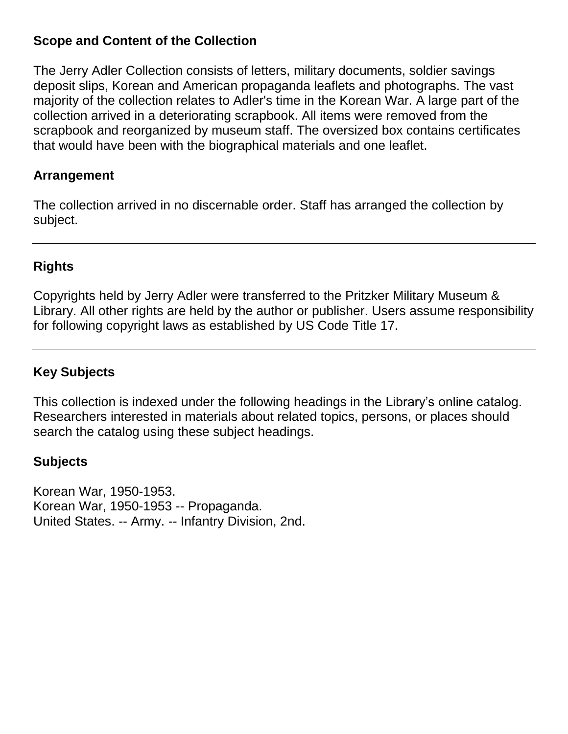#### **Scope and Content of the Collection**

The Jerry Adler Collection consists of letters, military documents, soldier savings deposit slips, Korean and American propaganda leaflets and photographs. The vast majority of the collection relates to Adler's time in the Korean War. A large part of the collection arrived in a deteriorating scrapbook. All items were removed from the scrapbook and reorganized by museum staff. The oversized box contains certificates that would have been with the biographical materials and one leaflet.

#### **Arrangement**

The collection arrived in no discernable order. Staff has arranged the collection by subject.

#### **Rights**

Copyrights held by Jerry Adler were transferred to the Pritzker Military Museum & Library. All other rights are held by the author or publisher. Users assume responsibility for following copyright laws as established by US Code Title 17.

#### **Key Subjects**

This collection is indexed under the following headings in the Library's online catalog. Researchers interested in materials about related topics, persons, or places should search the catalog using these subject headings.

#### **Subjects**

Korean War, 1950-1953. Korean War, 1950-1953 -- Propaganda. United States. -- Army. -- Infantry Division, 2nd.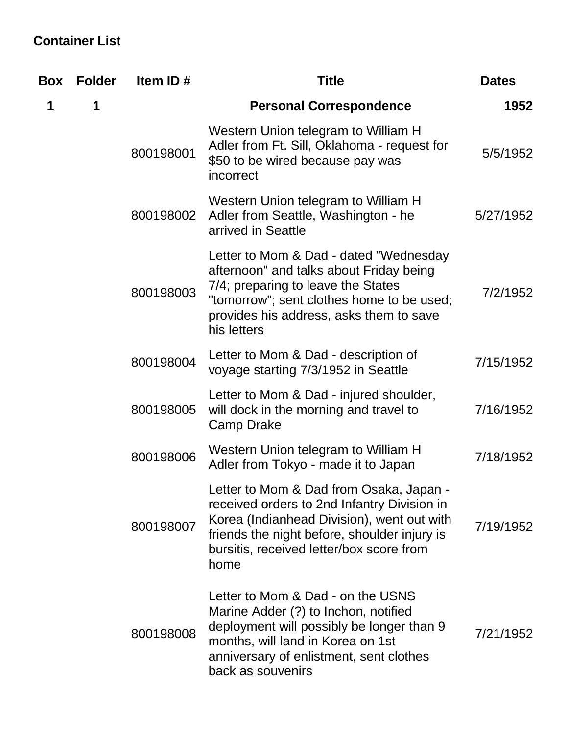## **Container List**

| <b>Box</b> | <b>Folder</b> | Item ID#                                                                                                                                                                                                                                 | <b>Title</b>                                                                                                                                                                                                                   | <b>Dates</b> |
|------------|---------------|------------------------------------------------------------------------------------------------------------------------------------------------------------------------------------------------------------------------------------------|--------------------------------------------------------------------------------------------------------------------------------------------------------------------------------------------------------------------------------|--------------|
| 1          | 1             |                                                                                                                                                                                                                                          | <b>Personal Correspondence</b>                                                                                                                                                                                                 | 1952         |
|            |               | 800198001                                                                                                                                                                                                                                | Western Union telegram to William H<br>Adler from Ft. Sill, Oklahoma - request for<br>\$50 to be wired because pay was<br>incorrect                                                                                            | 5/5/1952     |
|            |               | 800198002                                                                                                                                                                                                                                | Western Union telegram to William H<br>Adler from Seattle, Washington - he<br>arrived in Seattle                                                                                                                               | 5/27/1952    |
|            |               | 800198003                                                                                                                                                                                                                                | Letter to Mom & Dad - dated "Wednesday<br>afternoon" and talks about Friday being<br>7/4; preparing to leave the States<br>"tomorrow"; sent clothes home to be used;<br>provides his address, asks them to save<br>his letters | 7/2/1952     |
|            |               | 800198004                                                                                                                                                                                                                                | Letter to Mom & Dad - description of<br>voyage starting 7/3/1952 in Seattle                                                                                                                                                    | 7/15/1952    |
|            |               | 800198005                                                                                                                                                                                                                                | Letter to Mom & Dad - injured shoulder,<br>will dock in the morning and travel to<br>Camp Drake                                                                                                                                | 7/16/1952    |
|            |               | 800198006                                                                                                                                                                                                                                | Western Union telegram to William H<br>Adler from Tokyo - made it to Japan                                                                                                                                                     | 7/18/1952    |
|            | 800198007     | Letter to Mom & Dad from Osaka, Japan -<br>received orders to 2nd Infantry Division in<br>Korea (Indianhead Division), went out with<br>friends the night before, shoulder injury is<br>bursitis, received letter/box score from<br>home | 7/19/1952                                                                                                                                                                                                                      |              |
|            |               | 800198008                                                                                                                                                                                                                                | Letter to Mom & Dad - on the USNS<br>Marine Adder (?) to Inchon, notified<br>deployment will possibly be longer than 9<br>months, will land in Korea on 1st<br>anniversary of enlistment, sent clothes<br>back as souvenirs    | 7/21/1952    |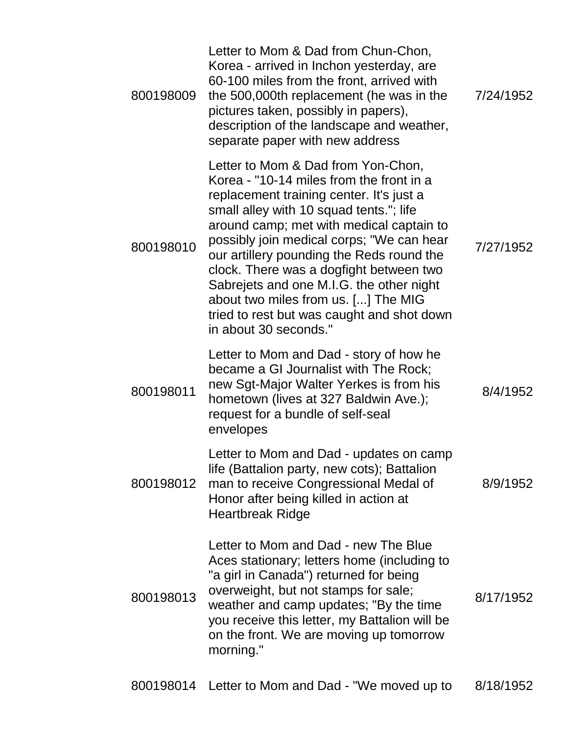| 800198009 | Letter to Mom & Dad from Chun-Chon,<br>Korea - arrived in Inchon yesterday, are<br>60-100 miles from the front, arrived with<br>the 500,000th replacement (he was in the<br>pictures taken, possibly in papers),<br>description of the landscape and weather,<br>separate paper with new address                                                                                                                                                                                                                 | 7/24/1952 |
|-----------|------------------------------------------------------------------------------------------------------------------------------------------------------------------------------------------------------------------------------------------------------------------------------------------------------------------------------------------------------------------------------------------------------------------------------------------------------------------------------------------------------------------|-----------|
| 800198010 | Letter to Mom & Dad from Yon-Chon,<br>Korea - "10-14 miles from the front in a<br>replacement training center. It's just a<br>small alley with 10 squad tents."; life<br>around camp; met with medical captain to<br>possibly join medical corps; "We can hear<br>our artillery pounding the Reds round the<br>clock. There was a dogfight between two<br>Sabrejets and one M.I.G. the other night<br>about two miles from us. [] The MIG<br>tried to rest but was caught and shot down<br>in about 30 seconds." | 7/27/1952 |
| 800198011 | Letter to Mom and Dad - story of how he<br>became a GI Journalist with The Rock;<br>new Sgt-Major Walter Yerkes is from his<br>hometown (lives at 327 Baldwin Ave.);<br>request for a bundle of self-seal<br>envelopes                                                                                                                                                                                                                                                                                           | 8/4/1952  |
| 800198012 | Letter to Mom and Dad - updates on camp<br>life (Battalion party, new cots); Battalion<br>man to receive Congressional Medal of<br>Honor after being killed in action at<br><b>Heartbreak Ridge</b>                                                                                                                                                                                                                                                                                                              | 8/9/1952  |
| 800198013 | Letter to Mom and Dad - new The Blue<br>Aces stationary; letters home (including to<br>"a girl in Canada") returned for being<br>overweight, but not stamps for sale;<br>weather and camp updates; "By the time"<br>you receive this letter, my Battalion will be<br>on the front. We are moving up tomorrow<br>morning."                                                                                                                                                                                        | 8/17/1952 |
|           |                                                                                                                                                                                                                                                                                                                                                                                                                                                                                                                  |           |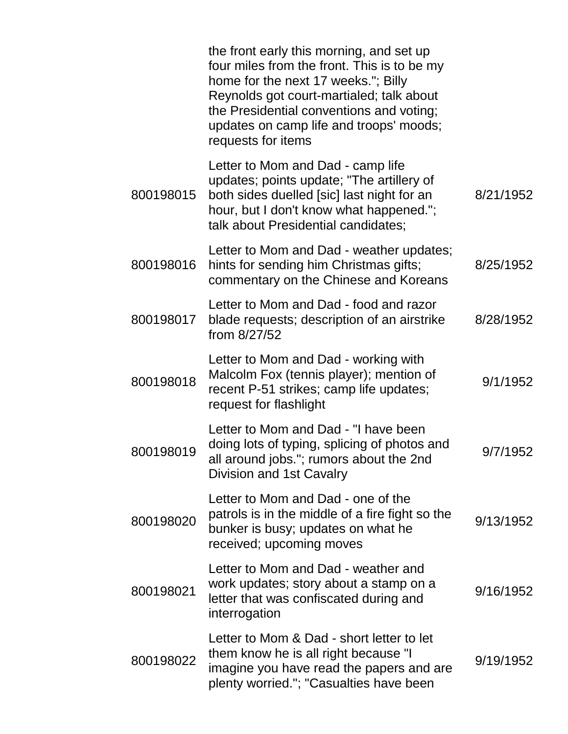|           | the front early this morning, and set up<br>four miles from the front. This is to be my<br>home for the next 17 weeks."; Billy<br>Reynolds got court-martialed; talk about<br>the Presidential conventions and voting;<br>updates on camp life and troops' moods;<br>requests for items |           |
|-----------|-----------------------------------------------------------------------------------------------------------------------------------------------------------------------------------------------------------------------------------------------------------------------------------------|-----------|
| 800198015 | Letter to Mom and Dad - camp life<br>updates; points update; "The artillery of<br>both sides duelled [sic] last night for an<br>hour, but I don't know what happened.";<br>talk about Presidential candidates;                                                                          | 8/21/1952 |
| 800198016 | Letter to Mom and Dad - weather updates;<br>hints for sending him Christmas gifts;<br>commentary on the Chinese and Koreans                                                                                                                                                             | 8/25/1952 |
| 800198017 | Letter to Mom and Dad - food and razor<br>blade requests; description of an airstrike<br>from 8/27/52                                                                                                                                                                                   | 8/28/1952 |
| 800198018 | Letter to Mom and Dad - working with<br>Malcolm Fox (tennis player); mention of<br>recent P-51 strikes; camp life updates;<br>request for flashlight                                                                                                                                    | 9/1/1952  |
| 800198019 | Letter to Mom and Dad - "I have been<br>doing lots of typing, splicing of photos and<br>all around jobs."; rumors about the 2nd<br>Division and 1st Cavalry                                                                                                                             | 9/7/1952  |
| 800198020 | Letter to Mom and Dad - one of the<br>patrols is in the middle of a fire fight so the<br>bunker is busy; updates on what he<br>received; upcoming moves                                                                                                                                 | 9/13/1952 |
| 800198021 | Letter to Mom and Dad - weather and<br>work updates; story about a stamp on a<br>letter that was confiscated during and<br>interrogation                                                                                                                                                | 9/16/1952 |
| 800198022 | Letter to Mom & Dad - short letter to let<br>them know he is all right because "I<br>imagine you have read the papers and are<br>plenty worried."; "Casualties have been                                                                                                                | 9/19/1952 |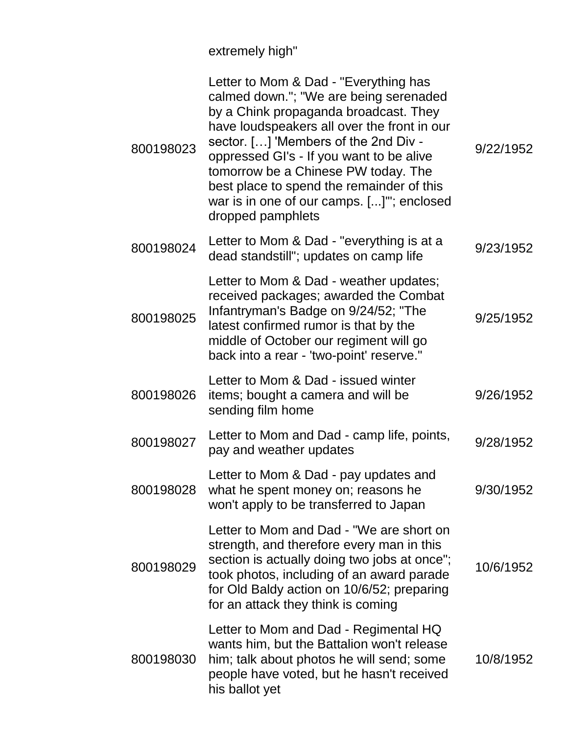extremely high"

| 800198023 | Letter to Mom & Dad - "Everything has<br>calmed down."; "We are being serenaded<br>by a Chink propaganda broadcast. They<br>have loudspeakers all over the front in our<br>sector. [] 'Members of the 2nd Div -<br>oppressed GI's - If you want to be alive<br>tomorrow be a Chinese PW today. The<br>best place to spend the remainder of this<br>war is in one of our camps. []"; enclosed<br>dropped pamphlets | 9/22/1952 |
|-----------|-------------------------------------------------------------------------------------------------------------------------------------------------------------------------------------------------------------------------------------------------------------------------------------------------------------------------------------------------------------------------------------------------------------------|-----------|
| 800198024 | Letter to Mom & Dad - "everything is at a<br>dead standstill"; updates on camp life                                                                                                                                                                                                                                                                                                                               | 9/23/1952 |
| 800198025 | Letter to Mom & Dad - weather updates;<br>received packages; awarded the Combat<br>Infantryman's Badge on 9/24/52; "The<br>latest confirmed rumor is that by the<br>middle of October our regiment will go<br>back into a rear - 'two-point' reserve."                                                                                                                                                            | 9/25/1952 |
| 800198026 | Letter to Mom & Dad - issued winter<br>items; bought a camera and will be<br>sending film home                                                                                                                                                                                                                                                                                                                    | 9/26/1952 |
| 800198027 | Letter to Mom and Dad - camp life, points,<br>pay and weather updates                                                                                                                                                                                                                                                                                                                                             | 9/28/1952 |
| 800198028 | Letter to Mom & Dad - pay updates and<br>what he spent money on; reasons he<br>won't apply to be transferred to Japan                                                                                                                                                                                                                                                                                             | 9/30/1952 |
| 800198029 | Letter to Mom and Dad - "We are short on<br>strength, and therefore every man in this<br>section is actually doing two jobs at once";<br>took photos, including of an award parade<br>for Old Baldy action on 10/6/52; preparing<br>for an attack they think is coming                                                                                                                                            | 10/6/1952 |
| 800198030 | Letter to Mom and Dad - Regimental HQ<br>wants him, but the Battalion won't release<br>him; talk about photos he will send; some<br>people have voted, but he hasn't received<br>his ballot yet                                                                                                                                                                                                                   | 10/8/1952 |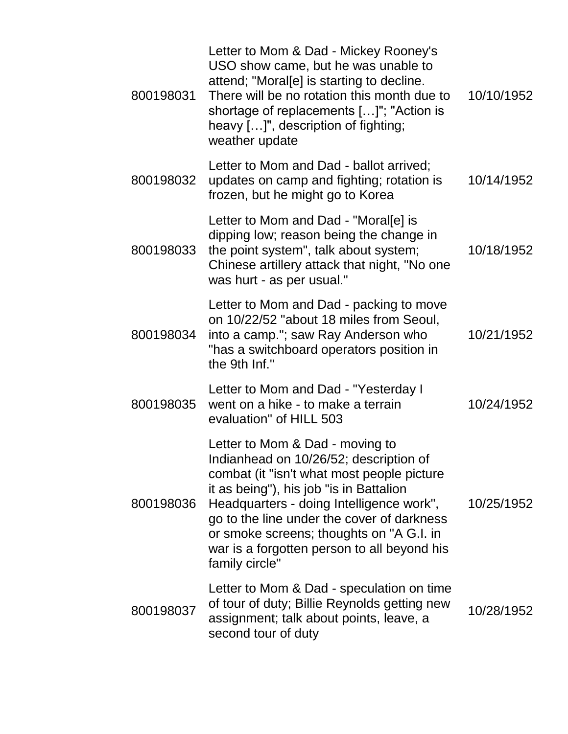| 800198031 | Letter to Mom & Dad - Mickey Rooney's<br>USO show came, but he was unable to<br>attend; "Moral[e] is starting to decline.<br>There will be no rotation this month due to<br>shortage of replacements []"; "Action is<br>heavy []", description of fighting;<br>weather update                                                                                             | 10/10/1952 |
|-----------|---------------------------------------------------------------------------------------------------------------------------------------------------------------------------------------------------------------------------------------------------------------------------------------------------------------------------------------------------------------------------|------------|
| 800198032 | Letter to Mom and Dad - ballot arrived;<br>updates on camp and fighting; rotation is<br>frozen, but he might go to Korea                                                                                                                                                                                                                                                  | 10/14/1952 |
| 800198033 | Letter to Mom and Dad - "Moral[e] is<br>dipping low; reason being the change in<br>the point system", talk about system;<br>Chinese artillery attack that night, "No one<br>was hurt - as per usual."                                                                                                                                                                     | 10/18/1952 |
| 800198034 | Letter to Mom and Dad - packing to move<br>on 10/22/52 "about 18 miles from Seoul,<br>into a camp."; saw Ray Anderson who<br>"has a switchboard operators position in<br>the 9th Inf."                                                                                                                                                                                    | 10/21/1952 |
| 800198035 | Letter to Mom and Dad - "Yesterday I<br>went on a hike - to make a terrain<br>evaluation" of HILL 503                                                                                                                                                                                                                                                                     | 10/24/1952 |
| 800198036 | Letter to Mom & Dad - moving to<br>Indianhead on 10/26/52; description of<br>combat (it "isn't what most people picture<br>it as being"), his job "is in Battalion<br>Headquarters - doing Intelligence work",<br>go to the line under the cover of darkness<br>or smoke screens; thoughts on "A G.I. in<br>war is a forgotten person to all beyond his<br>family circle" | 10/25/1952 |
| 800198037 | Letter to Mom & Dad - speculation on time<br>of tour of duty; Billie Reynolds getting new<br>assignment; talk about points, leave, a<br>second tour of duty                                                                                                                                                                                                               | 10/28/1952 |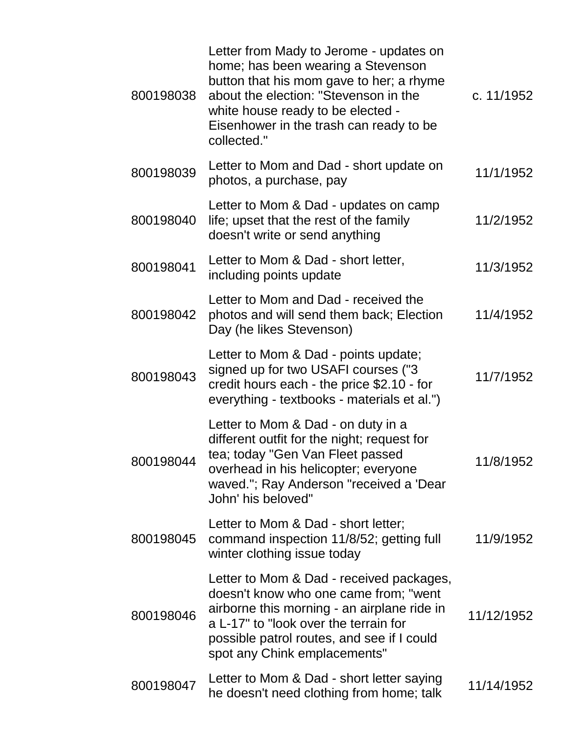| 800198038 | Letter from Mady to Jerome - updates on<br>home; has been wearing a Stevenson<br>button that his mom gave to her; a rhyme<br>about the election: "Stevenson in the<br>white house ready to be elected -<br>Eisenhower in the trash can ready to be<br>collected." | c. 11/1952 |
|-----------|-------------------------------------------------------------------------------------------------------------------------------------------------------------------------------------------------------------------------------------------------------------------|------------|
| 800198039 | Letter to Mom and Dad - short update on<br>photos, a purchase, pay                                                                                                                                                                                                | 11/1/1952  |
| 800198040 | Letter to Mom & Dad - updates on camp<br>life; upset that the rest of the family<br>doesn't write or send anything                                                                                                                                                | 11/2/1952  |
| 800198041 | Letter to Mom & Dad - short letter,<br>including points update                                                                                                                                                                                                    | 11/3/1952  |
| 800198042 | Letter to Mom and Dad - received the<br>photos and will send them back; Election<br>Day (he likes Stevenson)                                                                                                                                                      | 11/4/1952  |
| 800198043 | Letter to Mom & Dad - points update;<br>signed up for two USAFI courses ("3<br>credit hours each - the price \$2.10 - for<br>everything - textbooks - materials et al.")                                                                                          | 11/7/1952  |
| 800198044 | Letter to Mom & Dad - on duty in a<br>different outfit for the night; request for<br>tea; today "Gen Van Fleet passed<br>overhead in his helicopter; everyone<br>waved."; Ray Anderson "received a 'Dear<br>John' his beloved"                                    | 11/8/1952  |
| 800198045 | Letter to Mom & Dad - short letter;<br>command inspection 11/8/52; getting full<br>winter clothing issue today                                                                                                                                                    | 11/9/1952  |
| 800198046 | Letter to Mom & Dad - received packages,<br>doesn't know who one came from; "went<br>airborne this morning - an airplane ride in<br>a L-17" to "look over the terrain for<br>possible patrol routes, and see if I could<br>spot any Chink emplacements"           | 11/12/1952 |
| 800198047 | Letter to Mom & Dad - short letter saying<br>he doesn't need clothing from home; talk                                                                                                                                                                             | 11/14/1952 |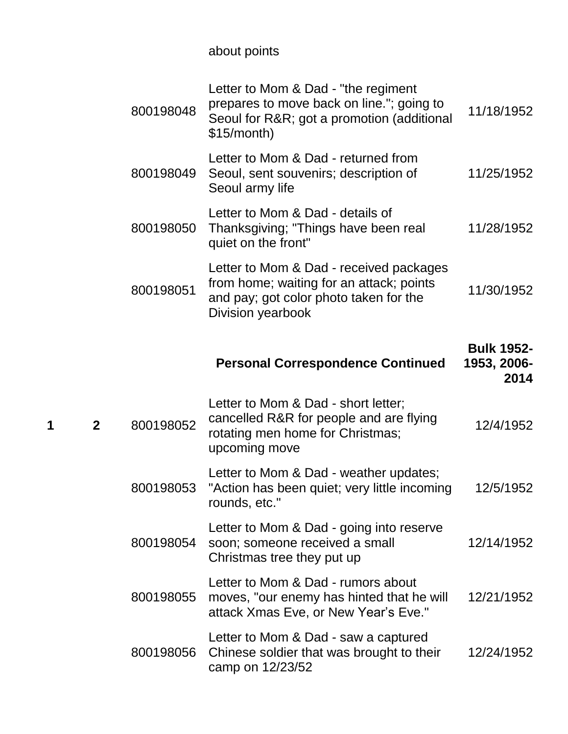about points

|   |              | 800198048 | Letter to Mom & Dad - "the regiment<br>prepares to move back on line."; going to<br>Seoul for R&R got a promotion (additional<br>\$15/month)       | 11/18/1952                               |
|---|--------------|-----------|----------------------------------------------------------------------------------------------------------------------------------------------------|------------------------------------------|
|   |              | 800198049 | Letter to Mom & Dad - returned from<br>Seoul, sent souvenirs; description of<br>Seoul army life                                                    | 11/25/1952                               |
|   |              | 800198050 | Letter to Mom & Dad - details of<br>Thanksgiving; "Things have been real<br>quiet on the front"                                                    | 11/28/1952                               |
|   |              | 800198051 | Letter to Mom & Dad - received packages<br>from home; waiting for an attack; points<br>and pay; got color photo taken for the<br>Division yearbook | 11/30/1952                               |
|   |              |           | <b>Personal Correspondence Continued</b>                                                                                                           | <b>Bulk 1952-</b><br>1953, 2006-<br>2014 |
| 1 | $\mathbf{2}$ | 800198052 | Letter to Mom & Dad - short letter;<br>cancelled R&R for people and are flying<br>rotating men home for Christmas;<br>upcoming move                | 12/4/1952                                |
|   |              | 800198053 | Letter to Mom & Dad - weather updates;<br>"Action has been quiet; very little incoming<br>rounds, etc."                                            | 12/5/1952                                |
|   |              | 800198054 | Letter to Mom & Dad - going into reserve<br>soon; someone received a small<br>Christmas tree they put up                                           | 12/14/1952                               |
|   |              |           | Letter to Mom & Dad - rumors about                                                                                                                 |                                          |
|   |              | 800198055 | moves, "our enemy has hinted that he will<br>attack Xmas Eve, or New Year's Eve."                                                                  | 12/21/1952                               |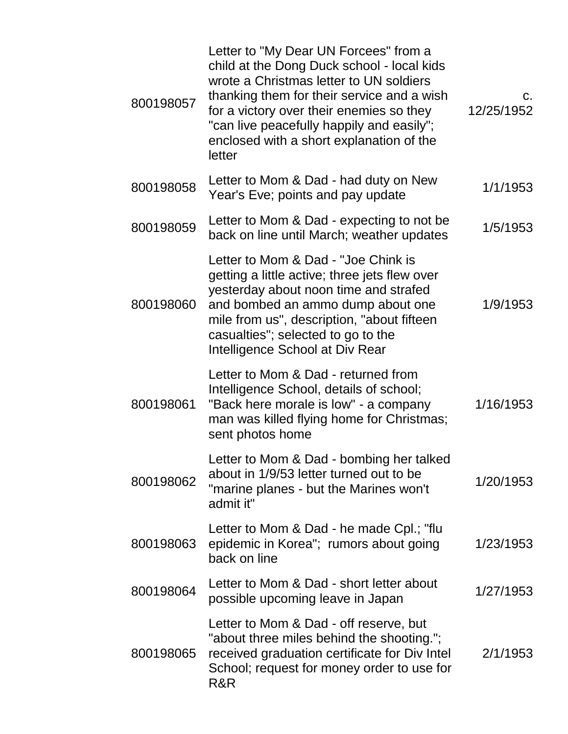| 800198057 | Letter to "My Dear UN Forcees" from a<br>child at the Dong Duck school - local kids<br>wrote a Christmas letter to UN soldiers<br>thanking them for their service and a wish<br>for a victory over their enemies so they<br>"can live peacefully happily and easily";<br>enclosed with a short explanation of the<br>letter | $C_{1}$<br>12/25/1952 |
|-----------|-----------------------------------------------------------------------------------------------------------------------------------------------------------------------------------------------------------------------------------------------------------------------------------------------------------------------------|-----------------------|
| 800198058 | Letter to Mom & Dad - had duty on New<br>Year's Eve; points and pay update                                                                                                                                                                                                                                                  | 1/1/1953              |
| 800198059 | Letter to Mom & Dad - expecting to not be<br>back on line until March; weather updates                                                                                                                                                                                                                                      | 1/5/1953              |
| 800198060 | Letter to Mom & Dad - "Joe Chink is<br>getting a little active; three jets flew over<br>yesterday about noon time and strafed<br>and bombed an ammo dump about one<br>mile from us", description, "about fifteen<br>casualties"; selected to go to the<br>Intelligence School at Div Rear                                   | 1/9/1953              |
| 800198061 | Letter to Mom & Dad - returned from<br>Intelligence School, details of school;<br>"Back here morale is low" - a company<br>man was killed flying home for Christmas;<br>sent photos home                                                                                                                                    | 1/16/1953             |
| 800198062 | Letter to Mom & Dad - bombing her talked<br>about in 1/9/53 letter turned out to be<br>"marine planes - but the Marines won't<br>admit it"                                                                                                                                                                                  | 1/20/1953             |
| 800198063 | Letter to Mom & Dad - he made Cpl.; "flu<br>epidemic in Korea"; rumors about going<br>back on line                                                                                                                                                                                                                          | 1/23/1953             |
| 800198064 | Letter to Mom & Dad - short letter about<br>possible upcoming leave in Japan                                                                                                                                                                                                                                                | 1/27/1953             |
| 800198065 | Letter to Mom & Dad - off reserve, but<br>"about three miles behind the shooting.";<br>received graduation certificate for Div Intel<br>School; request for money order to use for<br>R&R                                                                                                                                   | 2/1/1953              |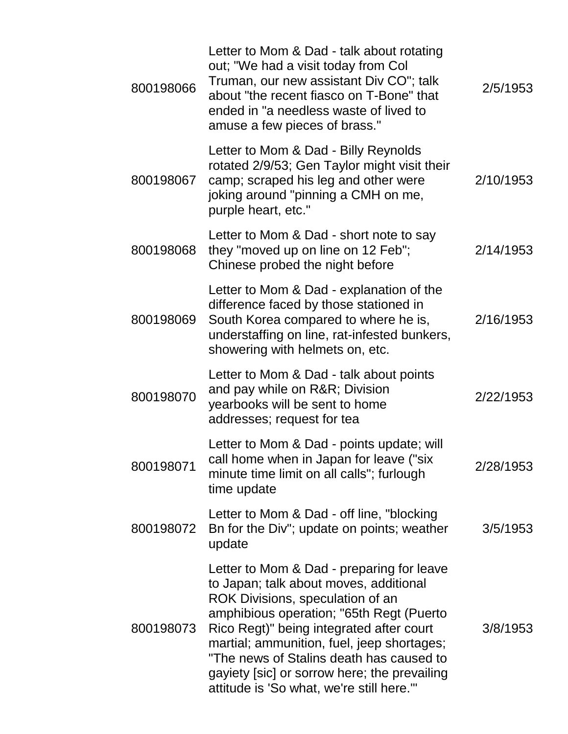| 800198066 | Letter to Mom & Dad - talk about rotating<br>out; "We had a visit today from Col<br>Truman, our new assistant Div CO"; talk<br>about "the recent fiasco on T-Bone" that<br>ended in "a needless waste of lived to<br>amuse a few pieces of brass."                                                                                                                                                     | 2/5/1953  |
|-----------|--------------------------------------------------------------------------------------------------------------------------------------------------------------------------------------------------------------------------------------------------------------------------------------------------------------------------------------------------------------------------------------------------------|-----------|
| 800198067 | Letter to Mom & Dad - Billy Reynolds<br>rotated 2/9/53; Gen Taylor might visit their<br>camp; scraped his leg and other were<br>joking around "pinning a CMH on me,<br>purple heart, etc."                                                                                                                                                                                                             | 2/10/1953 |
| 800198068 | Letter to Mom & Dad - short note to say<br>they "moved up on line on 12 Feb";<br>Chinese probed the night before                                                                                                                                                                                                                                                                                       | 2/14/1953 |
| 800198069 | Letter to Mom & Dad - explanation of the<br>difference faced by those stationed in<br>South Korea compared to where he is,<br>understaffing on line, rat-infested bunkers,<br>showering with helmets on, etc.                                                                                                                                                                                          | 2/16/1953 |
| 800198070 | Letter to Mom & Dad - talk about points<br>and pay while on R&R Division<br>yearbooks will be sent to home<br>addresses; request for tea                                                                                                                                                                                                                                                               | 2/22/1953 |
| 800198071 | Letter to Mom & Dad - points update; will<br>call home when in Japan for leave ("six<br>minute time limit on all calls"; furlough<br>time update                                                                                                                                                                                                                                                       | 2/28/1953 |
| 800198072 | Letter to Mom & Dad - off line, "blocking<br>Bn for the Div"; update on points; weather<br>update                                                                                                                                                                                                                                                                                                      | 3/5/1953  |
| 800198073 | Letter to Mom & Dad - preparing for leave<br>to Japan; talk about moves, additional<br>ROK Divisions, speculation of an<br>amphibious operation; "65th Regt (Puerto<br>Rico Regt)" being integrated after court<br>martial; ammunition, fuel, jeep shortages;<br>"The news of Stalins death has caused to<br>gayiety [sic] or sorrow here; the prevailing<br>attitude is 'So what, we're still here."" | 3/8/1953  |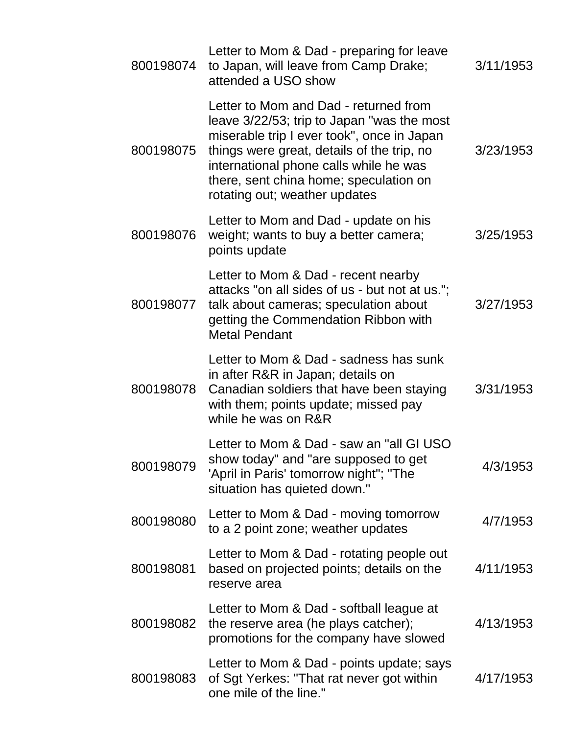| 800198074 | Letter to Mom & Dad - preparing for leave<br>to Japan, will leave from Camp Drake;<br>attended a USO show                                                                                                                                                                                            | 3/11/1953 |
|-----------|------------------------------------------------------------------------------------------------------------------------------------------------------------------------------------------------------------------------------------------------------------------------------------------------------|-----------|
| 800198075 | Letter to Mom and Dad - returned from<br>leave 3/22/53; trip to Japan "was the most<br>miserable trip I ever took", once in Japan<br>things were great, details of the trip, no<br>international phone calls while he was<br>there, sent china home; speculation on<br>rotating out; weather updates | 3/23/1953 |
| 800198076 | Letter to Mom and Dad - update on his<br>weight; wants to buy a better camera;<br>points update                                                                                                                                                                                                      | 3/25/1953 |
| 800198077 | Letter to Mom & Dad - recent nearby<br>attacks "on all sides of us - but not at us.";<br>talk about cameras; speculation about<br>getting the Commendation Ribbon with<br><b>Metal Pendant</b>                                                                                                       | 3/27/1953 |
| 800198078 | Letter to Mom & Dad - sadness has sunk<br>in after R&R in Japan; details on<br>Canadian soldiers that have been staying<br>with them; points update; missed pay<br>while he was on R&R                                                                                                               | 3/31/1953 |
| 800198079 | Letter to Mom & Dad - saw an "all GI USO<br>show today" and "are supposed to get<br>'April in Paris' tomorrow night"; "The<br>situation has quieted down."                                                                                                                                           | 4/3/1953  |
| 800198080 | Letter to Mom & Dad - moving tomorrow<br>to a 2 point zone; weather updates                                                                                                                                                                                                                          | 4/7/1953  |
| 800198081 | Letter to Mom & Dad - rotating people out<br>based on projected points; details on the<br>reserve area                                                                                                                                                                                               | 4/11/1953 |
| 800198082 | Letter to Mom & Dad - softball league at<br>the reserve area (he plays catcher);<br>promotions for the company have slowed                                                                                                                                                                           | 4/13/1953 |
| 800198083 | Letter to Mom & Dad - points update; says<br>of Sgt Yerkes: "That rat never got within<br>one mile of the line."                                                                                                                                                                                     | 4/17/1953 |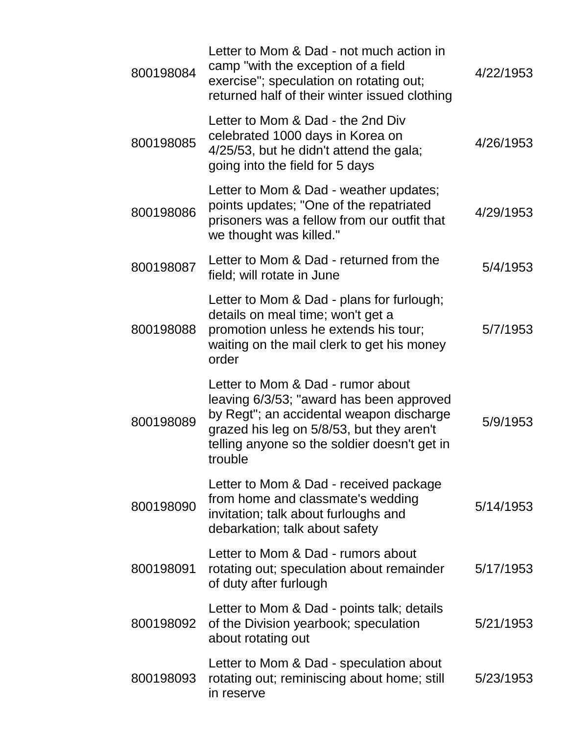| 800198084 | Letter to Mom & Dad - not much action in<br>camp "with the exception of a field<br>exercise"; speculation on rotating out;<br>returned half of their winter issued clothing                                                       | 4/22/1953 |
|-----------|-----------------------------------------------------------------------------------------------------------------------------------------------------------------------------------------------------------------------------------|-----------|
| 800198085 | Letter to Mom & Dad - the 2nd Div<br>celebrated 1000 days in Korea on<br>4/25/53, but he didn't attend the gala;<br>going into the field for 5 days                                                                               | 4/26/1953 |
| 800198086 | Letter to Mom & Dad - weather updates;<br>points updates; "One of the repatriated<br>prisoners was a fellow from our outfit that<br>we thought was killed."                                                                       | 4/29/1953 |
| 800198087 | Letter to Mom & Dad - returned from the<br>field; will rotate in June                                                                                                                                                             | 5/4/1953  |
| 800198088 | Letter to Mom & Dad - plans for furlough;<br>details on meal time; won't get a<br>promotion unless he extends his tour;<br>waiting on the mail clerk to get his money<br>order                                                    | 5/7/1953  |
| 800198089 | Letter to Mom & Dad - rumor about<br>leaving 6/3/53; "award has been approved<br>by Regt"; an accidental weapon discharge<br>grazed his leg on 5/8/53, but they aren't<br>telling anyone so the soldier doesn't get in<br>trouble | 5/9/1953  |
| 800198090 | Letter to Mom & Dad - received package<br>from home and classmate's wedding<br>invitation; talk about furloughs and<br>debarkation; talk about safety                                                                             | 5/14/1953 |
| 800198091 | Letter to Mom & Dad - rumors about<br>rotating out; speculation about remainder<br>of duty after furlough                                                                                                                         | 5/17/1953 |
| 800198092 | Letter to Mom & Dad - points talk; details<br>of the Division yearbook; speculation<br>about rotating out                                                                                                                         | 5/21/1953 |
| 800198093 | Letter to Mom & Dad - speculation about<br>rotating out; reminiscing about home; still<br>in reserve                                                                                                                              | 5/23/1953 |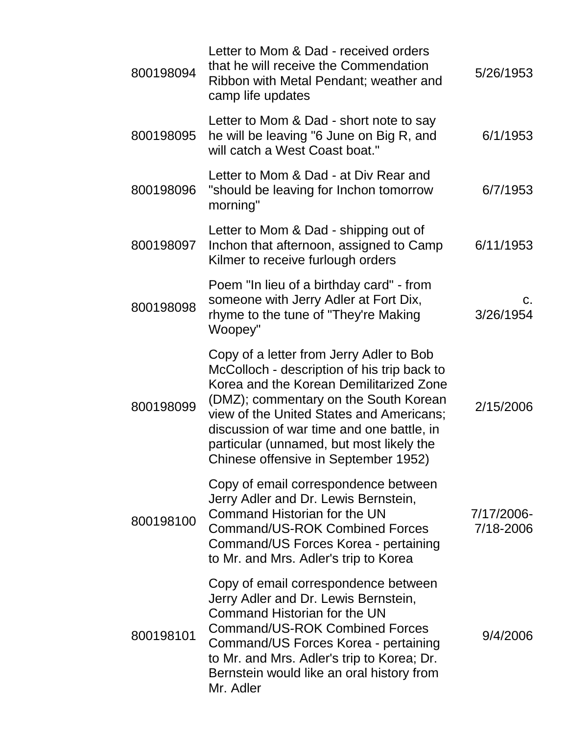| 800198094 | Letter to Mom & Dad - received orders<br>that he will receive the Commendation<br>Ribbon with Metal Pendant; weather and<br>camp life updates                                                                                                                                                                                                            | 5/26/1953               |
|-----------|----------------------------------------------------------------------------------------------------------------------------------------------------------------------------------------------------------------------------------------------------------------------------------------------------------------------------------------------------------|-------------------------|
| 800198095 | Letter to Mom & Dad - short note to say<br>he will be leaving "6 June on Big R, and<br>will catch a West Coast boat."                                                                                                                                                                                                                                    | 6/1/1953                |
| 800198096 | Letter to Mom & Dad - at Div Rear and<br>"should be leaving for Inchon tomorrow<br>morning"                                                                                                                                                                                                                                                              | 6/7/1953                |
| 800198097 | Letter to Mom & Dad - shipping out of<br>Inchon that afternoon, assigned to Camp<br>Kilmer to receive furlough orders                                                                                                                                                                                                                                    | 6/11/1953               |
| 800198098 | Poem "In lieu of a birthday card" - from<br>someone with Jerry Adler at Fort Dix,<br>rhyme to the tune of "They're Making"<br>Woopey"                                                                                                                                                                                                                    | C.<br>3/26/1954         |
| 800198099 | Copy of a letter from Jerry Adler to Bob<br>McColloch - description of his trip back to<br>Korea and the Korean Demilitarized Zone<br>(DMZ); commentary on the South Korean<br>view of the United States and Americans;<br>discussion of war time and one battle, in<br>particular (unnamed, but most likely the<br>Chinese offensive in September 1952) | 2/15/2006               |
| 800198100 | Copy of email correspondence between<br>Jerry Adler and Dr. Lewis Bernstein,<br>Command Historian for the UN<br><b>Command/US-ROK Combined Forces</b><br>Command/US Forces Korea - pertaining<br>to Mr. and Mrs. Adler's trip to Korea                                                                                                                   | 7/17/2006-<br>7/18-2006 |
| 800198101 | Copy of email correspondence between<br>Jerry Adler and Dr. Lewis Bernstein,<br>Command Historian for the UN<br><b>Command/US-ROK Combined Forces</b><br>Command/US Forces Korea - pertaining<br>to Mr. and Mrs. Adler's trip to Korea; Dr.<br>Bernstein would like an oral history from<br>Mr. Adler                                                    | 9/4/2006                |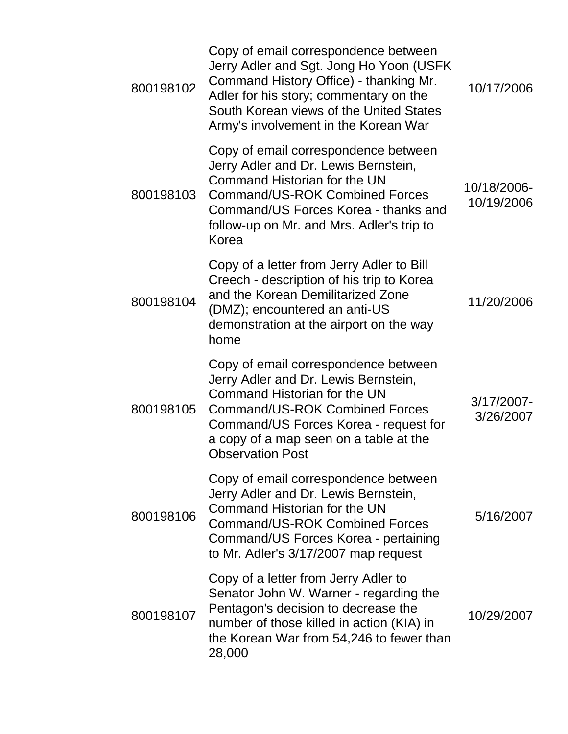| 800198102 | Copy of email correspondence between<br>Jerry Adler and Sgt. Jong Ho Yoon (USFK<br>Command History Office) - thanking Mr.<br>Adler for his story; commentary on the<br>South Korean views of the United States<br>Army's involvement in the Korean War              | 10/17/2006                |
|-----------|---------------------------------------------------------------------------------------------------------------------------------------------------------------------------------------------------------------------------------------------------------------------|---------------------------|
| 800198103 | Copy of email correspondence between<br>Jerry Adler and Dr. Lewis Bernstein,<br>Command Historian for the UN<br>Command/US-ROK Combined Forces<br>Command/US Forces Korea - thanks and<br>follow-up on Mr. and Mrs. Adler's trip to<br>Korea                        | 10/18/2006-<br>10/19/2006 |
| 800198104 | Copy of a letter from Jerry Adler to Bill<br>Creech - description of his trip to Korea<br>and the Korean Demilitarized Zone<br>(DMZ); encountered an anti-US<br>demonstration at the airport on the way<br>home                                                     | 11/20/2006                |
| 800198105 | Copy of email correspondence between<br>Jerry Adler and Dr. Lewis Bernstein,<br>Command Historian for the UN<br><b>Command/US-ROK Combined Forces</b><br>Command/US Forces Korea - request for<br>a copy of a map seen on a table at the<br><b>Observation Post</b> | 3/17/2007-<br>3/26/2007   |
| 800198106 | Copy of email correspondence between<br>Jerry Adler and Dr. Lewis Bernstein,<br>Command Historian for the UN<br>Command/US-ROK Combined Forces<br>Command/US Forces Korea - pertaining<br>to Mr. Adler's 3/17/2007 map request                                      | 5/16/2007                 |
| 800198107 | Copy of a letter from Jerry Adler to<br>Senator John W. Warner - regarding the<br>Pentagon's decision to decrease the<br>number of those killed in action (KIA) in<br>the Korean War from 54,246 to fewer than<br>28,000                                            | 10/29/2007                |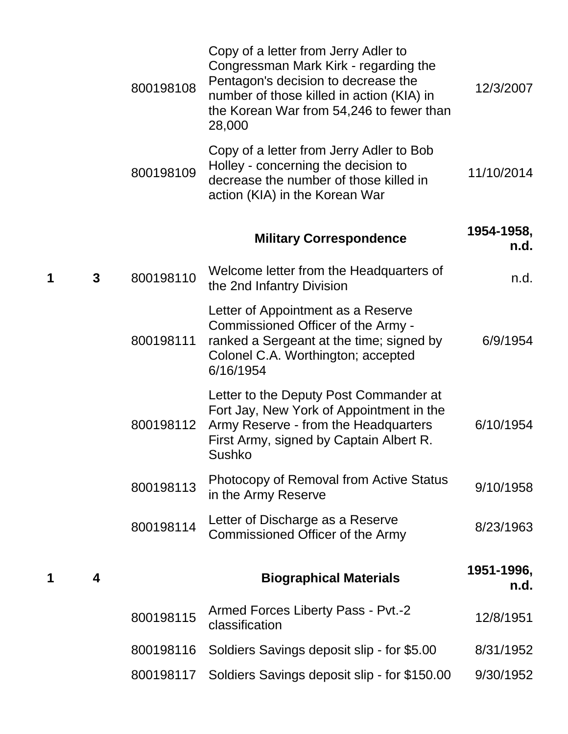|   |              | 800198108 | Copy of a letter from Jerry Adler to<br>Congressman Mark Kirk - regarding the<br>Pentagon's decision to decrease the<br>number of those killed in action (KIA) in<br>the Korean War from 54,246 to fewer than<br>28,000 | 12/3/2007          |
|---|--------------|-----------|-------------------------------------------------------------------------------------------------------------------------------------------------------------------------------------------------------------------------|--------------------|
|   |              | 800198109 | Copy of a letter from Jerry Adler to Bob<br>Holley - concerning the decision to<br>decrease the number of those killed in<br>action (KIA) in the Korean War                                                             | 11/10/2014         |
|   |              |           | <b>Military Correspondence</b>                                                                                                                                                                                          | 1954-1958,<br>n.d. |
| 1 | $\mathbf{3}$ | 800198110 | Welcome letter from the Headquarters of<br>the 2nd Infantry Division                                                                                                                                                    | n.d.               |
|   |              | 800198111 | Letter of Appointment as a Reserve<br>Commissioned Officer of the Army -<br>ranked a Sergeant at the time; signed by<br>Colonel C.A. Worthington; accepted<br>6/16/1954                                                 | 6/9/1954           |
|   |              | 800198112 | Letter to the Deputy Post Commander at<br>Fort Jay, New York of Appointment in the<br>Army Reserve - from the Headquarters<br>First Army, signed by Captain Albert R.<br>Sushko                                         | 6/10/1954          |
|   |              | 800198113 | <b>Photocopy of Removal from Active Status</b><br>in the Army Reserve                                                                                                                                                   | 9/10/1958          |
|   |              | 800198114 | Letter of Discharge as a Reserve<br>Commissioned Officer of the Army                                                                                                                                                    | 8/23/1963          |
| 1 | 4            |           | <b>Biographical Materials</b>                                                                                                                                                                                           | 1951-1996,<br>n.d. |
|   |              | 800198115 | Armed Forces Liberty Pass - Pvt.-2<br>classification                                                                                                                                                                    | 12/8/1951          |
|   |              | 800198116 | Soldiers Savings deposit slip - for \$5.00                                                                                                                                                                              | 8/31/1952          |
|   |              | 800198117 | Soldiers Savings deposit slip - for \$150.00                                                                                                                                                                            | 9/30/1952          |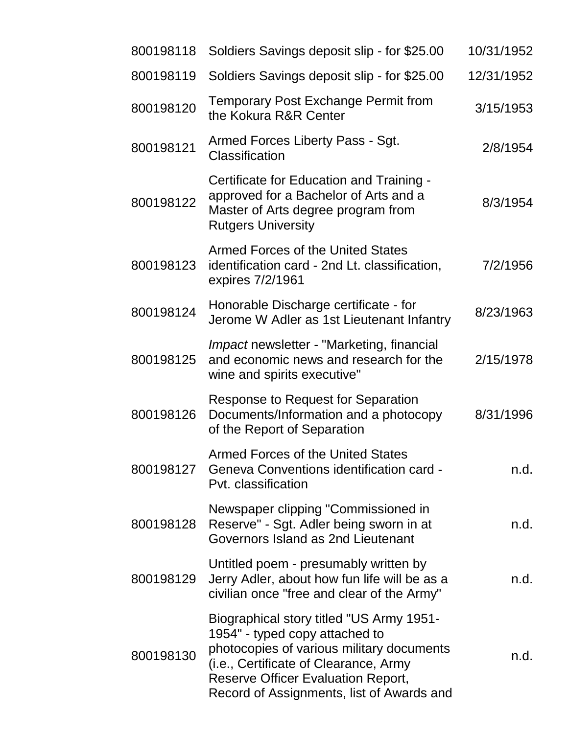| 800198118 | Soldiers Savings deposit slip - for \$25.00                                                                                                                                                                                                                | 10/31/1952 |
|-----------|------------------------------------------------------------------------------------------------------------------------------------------------------------------------------------------------------------------------------------------------------------|------------|
| 800198119 | Soldiers Savings deposit slip - for \$25.00                                                                                                                                                                                                                | 12/31/1952 |
| 800198120 | <b>Temporary Post Exchange Permit from</b><br>the Kokura R&R Center                                                                                                                                                                                        | 3/15/1953  |
| 800198121 | Armed Forces Liberty Pass - Sgt.<br>Classification                                                                                                                                                                                                         | 2/8/1954   |
| 800198122 | Certificate for Education and Training -<br>approved for a Bachelor of Arts and a<br>Master of Arts degree program from<br><b>Rutgers University</b>                                                                                                       | 8/3/1954   |
| 800198123 | <b>Armed Forces of the United States</b><br>identification card - 2nd Lt. classification,<br>expires 7/2/1961                                                                                                                                              | 7/2/1956   |
| 800198124 | Honorable Discharge certificate - for<br>Jerome W Adler as 1st Lieutenant Infantry                                                                                                                                                                         | 8/23/1963  |
| 800198125 | <i>Impact</i> newsletter - "Marketing, financial<br>and economic news and research for the<br>wine and spirits executive"                                                                                                                                  | 2/15/1978  |
| 800198126 | Response to Request for Separation<br>Documents/Information and a photocopy<br>of the Report of Separation                                                                                                                                                 | 8/31/1996  |
| 800198127 | <b>Armed Forces of the United States</b><br>Geneva Conventions identification card -<br>Pvt. classification                                                                                                                                                | n.d.       |
| 800198128 | Newspaper clipping "Commissioned in<br>Reserve" - Sgt. Adler being sworn in at<br>Governors Island as 2nd Lieutenant                                                                                                                                       | n.d.       |
| 800198129 | Untitled poem - presumably written by<br>Jerry Adler, about how fun life will be as a<br>civilian once "free and clear of the Army"                                                                                                                        | n.d.       |
| 800198130 | Biographical story titled "US Army 1951-<br>1954" - typed copy attached to<br>photocopies of various military documents<br>(i.e., Certificate of Clearance, Army<br><b>Reserve Officer Evaluation Report,</b><br>Record of Assignments, list of Awards and | n.d.       |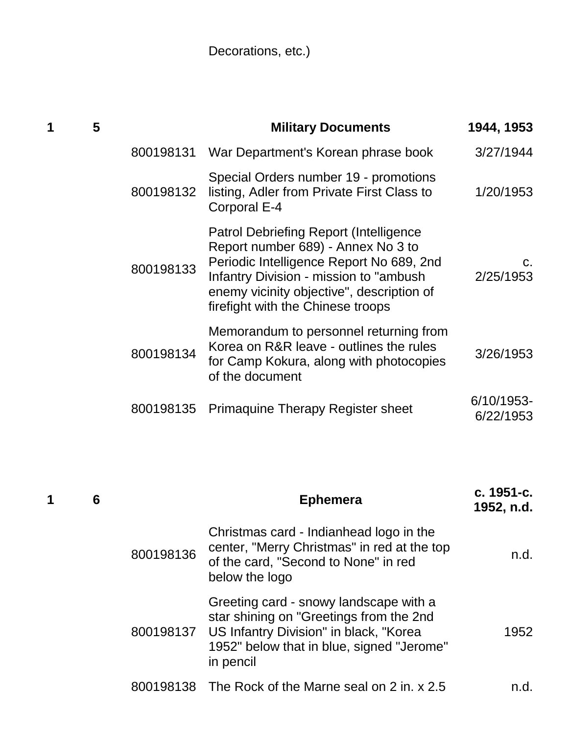Decorations, etc.)

| 1 | 5 |           | <b>Military Documents</b>                                                                                                                                                                                                                                    | 1944, 1953              |
|---|---|-----------|--------------------------------------------------------------------------------------------------------------------------------------------------------------------------------------------------------------------------------------------------------------|-------------------------|
|   |   | 800198131 | War Department's Korean phrase book                                                                                                                                                                                                                          | 3/27/1944               |
|   |   | 800198132 | Special Orders number 19 - promotions<br>listing, Adler from Private First Class to<br>Corporal E-4                                                                                                                                                          | 1/20/1953               |
|   |   | 800198133 | <b>Patrol Debriefing Report (Intelligence</b><br>Report number 689) - Annex No 3 to<br>Periodic Intelligence Report No 689, 2nd<br>Infantry Division - mission to "ambush"<br>enemy vicinity objective", description of<br>firefight with the Chinese troops | C.<br>2/25/1953         |
|   |   | 800198134 | Memorandum to personnel returning from<br>Korea on R&R leave - outlines the rules<br>for Camp Kokura, along with photocopies<br>of the document                                                                                                              | 3/26/1953               |
|   |   | 800198135 | <b>Primaguine Therapy Register sheet</b>                                                                                                                                                                                                                     | 6/10/1953-<br>6/22/1953 |
|   |   |           |                                                                                                                                                                                                                                                              |                         |

| 1 | 6 |           | <b>Ephemera</b>                                                                                                                                                                                 | c. 1951-c.<br>1952, n.d. |
|---|---|-----------|-------------------------------------------------------------------------------------------------------------------------------------------------------------------------------------------------|--------------------------|
|   |   | 800198136 | Christmas card - Indianhead logo in the<br>center, "Merry Christmas" in red at the top<br>of the card, "Second to None" in red<br>below the logo                                                | n.d.                     |
|   |   |           | Greeting card - snowy landscape with a<br>star shining on "Greetings from the 2nd<br>800198137 US Infantry Division" in black, "Korea<br>1952" below that in blue, signed "Jerome"<br>in pencil | 1952                     |
|   |   |           | 800198138 The Rock of the Marne seal on 2 in. x 2.5                                                                                                                                             | n.d.                     |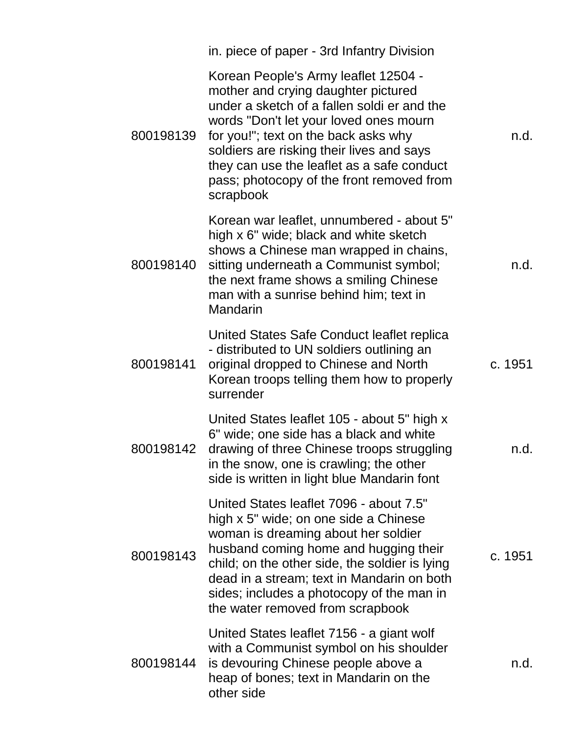|           | in. piece of paper - 3rd Infantry Division                                                                                                                                                                                                                                                                                                                        |         |
|-----------|-------------------------------------------------------------------------------------------------------------------------------------------------------------------------------------------------------------------------------------------------------------------------------------------------------------------------------------------------------------------|---------|
| 800198139 | Korean People's Army leaflet 12504 -<br>mother and crying daughter pictured<br>under a sketch of a fallen soldi er and the<br>words "Don't let your loved ones mourn<br>for you!"; text on the back asks why<br>soldiers are risking their lives and says<br>they can use the leaflet as a safe conduct<br>pass; photocopy of the front removed from<br>scrapbook | n.d.    |
| 800198140 | Korean war leaflet, unnumbered - about 5"<br>high x 6" wide; black and white sketch<br>shows a Chinese man wrapped in chains,<br>sitting underneath a Communist symbol;<br>the next frame shows a smiling Chinese<br>man with a sunrise behind him; text in<br>Mandarin                                                                                           | n.d.    |
| 800198141 | United States Safe Conduct leaflet replica<br>- distributed to UN soldiers outlining an<br>original dropped to Chinese and North<br>Korean troops telling them how to properly<br>surrender                                                                                                                                                                       | c. 1951 |
| 800198142 | United States leaflet 105 - about 5" high x<br>6" wide; one side has a black and white<br>drawing of three Chinese troops struggling<br>in the snow, one is crawling; the other<br>side is written in light blue Mandarin font                                                                                                                                    | n.d.    |
| 800198143 | United States leaflet 7096 - about 7.5"<br>high x 5" wide; on one side a Chinese<br>woman is dreaming about her soldier<br>husband coming home and hugging their<br>child; on the other side, the soldier is lying<br>dead in a stream; text in Mandarin on both<br>sides; includes a photocopy of the man in<br>the water removed from scrapbook                 | c. 1951 |
| 800198144 | United States leaflet 7156 - a giant wolf<br>with a Communist symbol on his shoulder<br>is devouring Chinese people above a<br>heap of bones; text in Mandarin on the<br>other side                                                                                                                                                                               | n.d.    |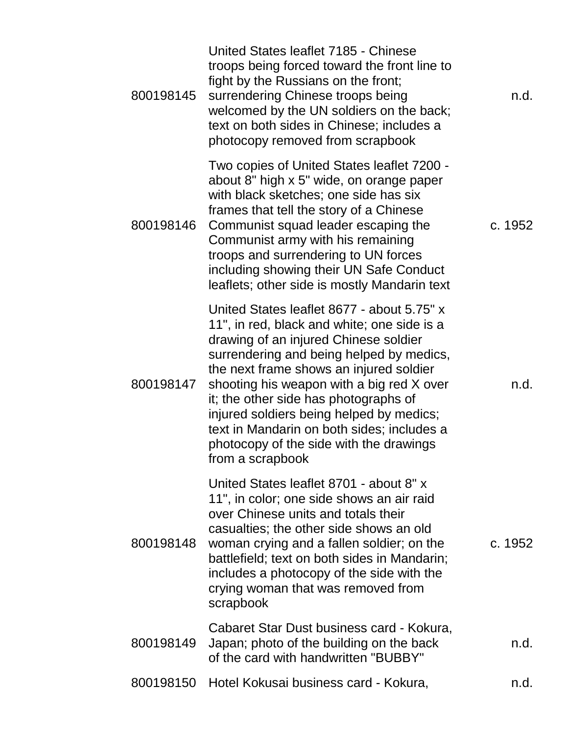| 800198145 | United States leaflet 7185 - Chinese<br>troops being forced toward the front line to<br>fight by the Russians on the front;<br>surrendering Chinese troops being<br>welcomed by the UN soldiers on the back;<br>text on both sides in Chinese; includes a<br>photocopy removed from scrapbook                                                                                                                                                                            | n.d.    |
|-----------|--------------------------------------------------------------------------------------------------------------------------------------------------------------------------------------------------------------------------------------------------------------------------------------------------------------------------------------------------------------------------------------------------------------------------------------------------------------------------|---------|
| 800198146 | Two copies of United States leaflet 7200 -<br>about 8" high x 5" wide, on orange paper<br>with black sketches; one side has six<br>frames that tell the story of a Chinese<br>Communist squad leader escaping the<br>Communist army with his remaining<br>troops and surrendering to UN forces<br>including showing their UN Safe Conduct<br>leaflets; other side is mostly Mandarin text                                                                                | c. 1952 |
| 800198147 | United States leaflet 8677 - about 5.75" x<br>11", in red, black and white; one side is a<br>drawing of an injured Chinese soldier<br>surrendering and being helped by medics,<br>the next frame shows an injured soldier<br>shooting his weapon with a big red X over<br>it; the other side has photographs of<br>injured soldiers being helped by medics;<br>text in Mandarin on both sides; includes a<br>photocopy of the side with the drawings<br>from a scrapbook | n.d.    |
| 800198148 | United States leaflet 8701 - about 8" x<br>11", in color; one side shows an air raid<br>over Chinese units and totals their<br>casualties; the other side shows an old<br>woman crying and a fallen soldier; on the<br>battlefield; text on both sides in Mandarin;<br>includes a photocopy of the side with the<br>crying woman that was removed from<br>scrapbook                                                                                                      | c. 1952 |
| 800198149 | Cabaret Star Dust business card - Kokura,<br>Japan; photo of the building on the back<br>of the card with handwritten "BUBBY"                                                                                                                                                                                                                                                                                                                                            | n.d.    |
| 800198150 | Hotel Kokusai business card - Kokura,                                                                                                                                                                                                                                                                                                                                                                                                                                    | n.d.    |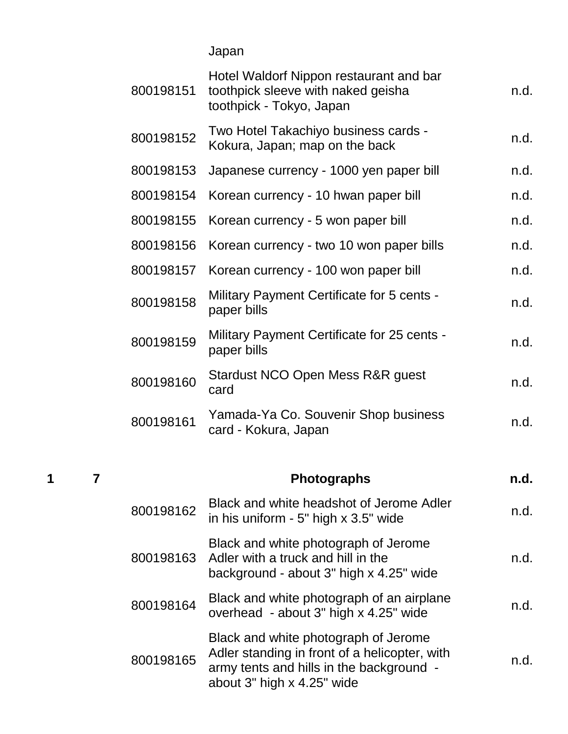Japan

| 800198151 | Hotel Waldorf Nippon restaurant and bar<br>toothpick sleeve with naked geisha<br>toothpick - Tokyo, Japan | n.d. |
|-----------|-----------------------------------------------------------------------------------------------------------|------|
| 800198152 | Two Hotel Takachiyo business cards -<br>Kokura, Japan; map on the back                                    | n.d. |
| 800198153 | Japanese currency - 1000 yen paper bill                                                                   | n.d. |
| 800198154 | Korean currency - 10 hwan paper bill                                                                      | n.d. |
| 800198155 | Korean currency - 5 won paper bill                                                                        | n.d. |
| 800198156 | Korean currency - two 10 won paper bills                                                                  | n.d. |
| 800198157 | Korean currency - 100 won paper bill                                                                      | n.d. |
| 800198158 | <b>Military Payment Certificate for 5 cents -</b><br>paper bills                                          | n.d. |
| 800198159 | <b>Military Payment Certificate for 25 cents -</b><br>paper bills                                         | n.d. |
| 800198160 | Stardust NCO Open Mess R&R guest<br>card                                                                  | n.d. |
| 800198161 | Yamada-Ya Co. Souvenir Shop business<br>card - Kokura, Japan                                              | n.d. |

# **1 7 Photographs n.d.**

| 800198162 | Black and white headshot of Jerome Adler<br>in his uniform $-5$ " high $\times$ 3.5" wide                                                                       | n.d. |
|-----------|-----------------------------------------------------------------------------------------------------------------------------------------------------------------|------|
|           | Black and white photograph of Jerome<br>800198163 Adler with a truck and hill in the<br>background - about 3" high x 4.25" wide                                 | n.d. |
| 800198164 | Black and white photograph of an airplane<br>overhead - about 3" high x 4.25" wide                                                                              | n.d. |
| 800198165 | Black and white photograph of Jerome<br>Adler standing in front of a helicopter, with<br>army tents and hills in the background -<br>about 3" high x 4.25" wide | n.d. |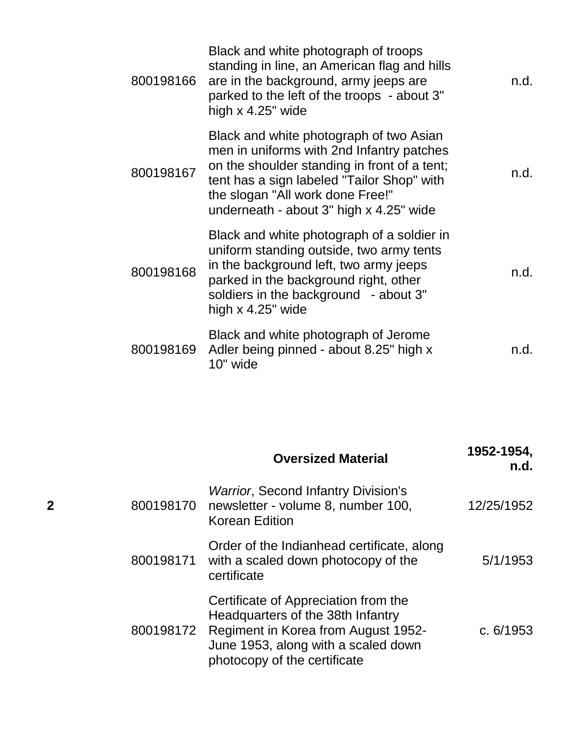| 800198166 | Black and white photograph of troops<br>standing in line, an American flag and hills<br>are in the background, army jeeps are<br>parked to the left of the troops - about 3"<br>high $x$ 4.25" wide                                                               | n.d. |
|-----------|-------------------------------------------------------------------------------------------------------------------------------------------------------------------------------------------------------------------------------------------------------------------|------|
| 800198167 | Black and white photograph of two Asian<br>men in uniforms with 2nd Infantry patches<br>on the shoulder standing in front of a tent;<br>tent has a sign labeled "Tailor Shop" with<br>the slogan "All work done Free!"<br>underneath - about 3" high x 4.25" wide | n.d. |
| 800198168 | Black and white photograph of a soldier in<br>uniform standing outside, two army tents<br>in the background left, two army jeeps<br>parked in the background right, other<br>soldiers in the background - about 3"<br>high $\times$ 4.25" wide                    | n.d. |
| 800198169 | Black and white photograph of Jerome<br>Adler being pinned - about 8.25" high x<br>10" wide                                                                                                                                                                       | n.d. |

|                |           | <b>Oversized Material</b>                                                                                                                                                                         | 1952-1954,<br>n.d. |
|----------------|-----------|---------------------------------------------------------------------------------------------------------------------------------------------------------------------------------------------------|--------------------|
| $\overline{2}$ | 800198170 | <b>Warrior, Second Infantry Division's</b><br>newsletter - volume 8, number 100,<br><b>Korean Edition</b>                                                                                         | 12/25/1952         |
|                | 800198171 | Order of the Indianhead certificate, along<br>with a scaled down photocopy of the<br>certificate                                                                                                  | 5/1/1953           |
|                |           | Certificate of Appreciation from the<br>Headquarters of the 38th Infantry<br>800198172 Regiment in Korea from August 1952-<br>June 1953, along with a scaled down<br>photocopy of the certificate | c. $6/1953$        |